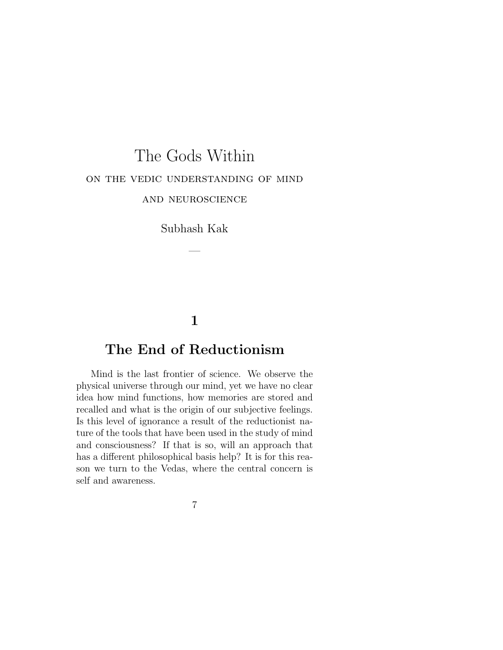# The Gods Within on the vedic understanding of mind and neuroscience

Subhash Kak

—

### **1**

### **The End of Reductionism**

Mind is the last frontier of science. We observe the physical universe through our mind, yet we have no clear idea how mind functions, how memories are stored and recalled and what is the origin of our subjective feelings. Is this level of ignorance a result of the reductionist nature of the tools that have been used in the study of mind and consciousness? If that is so, will an approach that has a different philosophical basis help? It is for this reason we turn to the Vedas, where the central concern is self and awareness.

7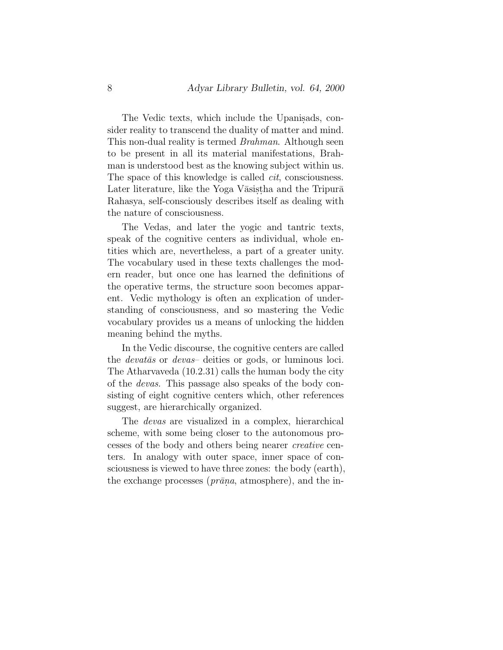The Vedic texts, which include the Upanisads, consider reality to transcend the duality of matter and mind. This non-dual reality is termed *Brahman*. Although seen to be present in all its material manifestations, Brahman is understood best as the knowing subject within us. The space of this knowledge is called *cit*, consciousness. Later literature, like the Yoga Vāsistha and the Tripurā Rahasya, self-consciously describes itself as dealing with the nature of consciousness.

The Vedas, and later the yogic and tantric texts, speak of the cognitive centers as individual, whole entities which are, nevertheless, a part of a greater unity. The vocabulary used in these texts challenges the modern reader, but once one has learned the definitions of the operative terms, the structure soon becomes apparent. Vedic mythology is often an explication of understanding of consciousness, and so mastering the Vedic vocabulary provides us a means of unlocking the hidden meaning behind the myths.

In the Vedic discourse, the cognitive centers are called the *devatas* or *devas* deities or gods, or luminous loci. The Atharvaveda (10.2.31) calls the human body the city of the devas. This passage also speaks of the body consisting of eight cognitive centers which, other references suggest, are hierarchically organized.

The devas are visualized in a complex, hierarchical scheme, with some being closer to the autonomous processes of the body and others being nearer creative centers. In analogy with outer space, inner space of consciousness is viewed to have three zones: the body (earth), the exchange processes ( $\overline{prāna}$ , atmosphere), and the in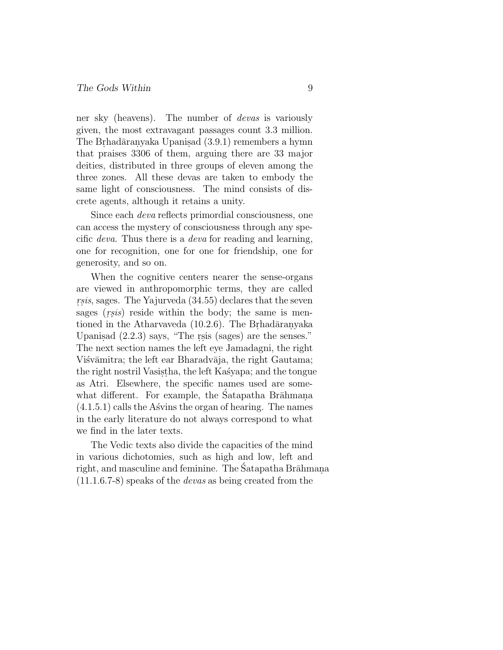ner sky (heavens). The number of devas is variously given, the most extravagant passages count 3.3 million. The Brhadāranyaka Upanisad (3.9.1) remembers a hymn that praises 3306 of them, arguing there are 33 major deities, distributed in three groups of eleven among the three zones. All these devas are taken to embody the same light of consciousness. The mind consists of discrete agents, although it retains a unity.

Since each deva reflects primordial consciousness, one can access the mystery of consciousness through any specific deva. Thus there is a deva for reading and learning, one for recognition, one for one for friendship, one for generosity, and so on.

When the cognitive centers nearer the sense-organs are viewed in anthropomorphic terms, they are called  $rsis$ , sages. The Yajurveda  $(34.55)$  declares that the seven sages  $(rsis)$  reside within the body; the same is mentioned in the Atharvaveda  $(10.2.6)$ . The Brhad $\bar{a}$ ranyaka Upanisad  $(2.2.3)$  says, "The rsis (sages) are the senses." The next section names the left eye Jamadagni, the right Višvāmitra; the left ear Bharadvāja, the right Gautama; the right nostril Vasistha, the left Kasyapa; and the tongue as Atri. Elsewhere, the specific names used are somewhat different. For example, the Satapatha Brahmana  $(4.1.5.1)$  calls the Ass is the organ of hearing. The names in the early literature do not always correspond to what we find in the later texts.

The Vedic texts also divide the capacities of the mind in various dichotomies, such as high and low, left and right, and masculine and feminine. The Satapatha Brāhmana (11.1.6.7-8) speaks of the devas as being created from the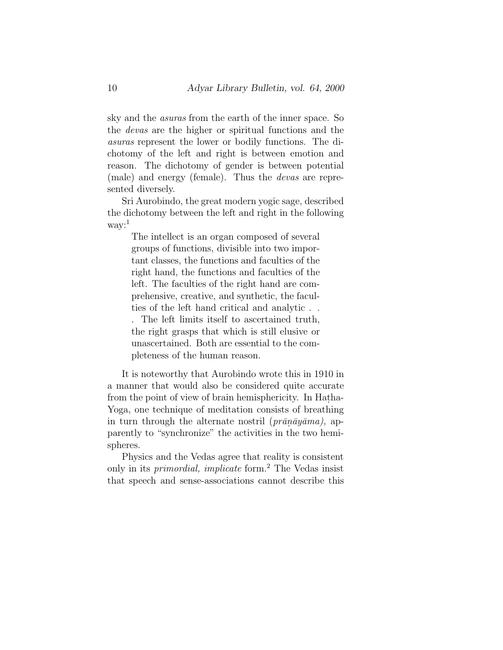sky and the asuras from the earth of the inner space. So the devas are the higher or spiritual functions and the asuras represent the lower or bodily functions. The dichotomy of the left and right is between emotion and reason. The dichotomy of gender is between potential (male) and energy (female). Thus the devas are represented diversely.

Sri Aurobindo, the great modern yogic sage, described the dichotomy between the left and right in the following way:<sup>1</sup>

The intellect is an organ composed of several groups of functions, divisible into two important classes, the functions and faculties of the right hand, the functions and faculties of the left. The faculties of the right hand are comprehensive, creative, and synthetic, the faculties of the left hand critical and analytic . .

. The left limits itself to ascertained truth, the right grasps that which is still elusive or unascertained. Both are essential to the completeness of the human reason.

It is noteworthy that Aurobindo wrote this in 1910 in a manner that would also be considered quite accurate from the point of view of brain hemisphericity. In Hatha-Yoga, one technique of meditation consists of breathing in turn through the alternate nostril ( $\textit{prānāyāma}$ ), apparently to "synchronize" the activities in the two hemispheres.

Physics and the Vedas agree that reality is consistent only in its primordial, implicate form.<sup>2</sup> The Vedas insist that speech and sense-associations cannot describe this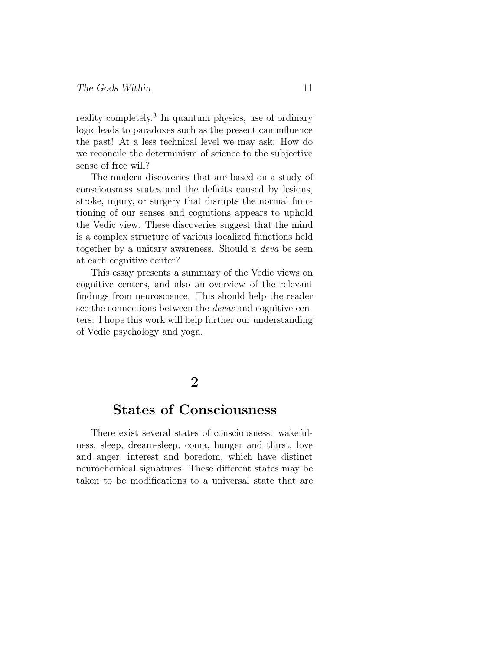reality completely.<sup>3</sup> In quantum physics, use of ordinary logic leads to paradoxes such as the present can influence the past! At a less technical level we may ask: How do we reconcile the determinism of science to the subjective sense of free will?

The modern discoveries that are based on a study of consciousness states and the deficits caused by lesions, stroke, injury, or surgery that disrupts the normal functioning of our senses and cognitions appears to uphold the Vedic view. These discoveries suggest that the mind is a complex structure of various localized functions held together by a unitary awareness. Should a deva be seen at each cognitive center?

This essay presents a summary of the Vedic views on cognitive centers, and also an overview of the relevant findings from neuroscience. This should help the reader see the connections between the devas and cognitive centers. I hope this work will help further our understanding of Vedic psychology and yoga.

### **2**

### **States of Consciousness**

There exist several states of consciousness: wakefulness, sleep, dream-sleep, coma, hunger and thirst, love and anger, interest and boredom, which have distinct neurochemical signatures. These different states may be taken to be modifications to a universal state that are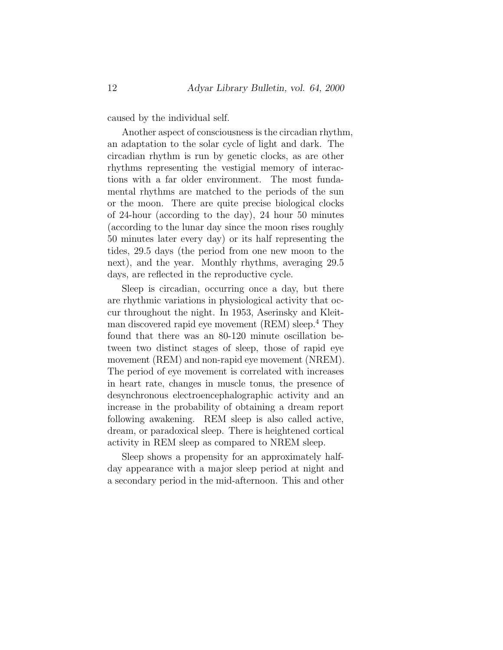caused by the individual self.

Another aspect of consciousness is the circadian rhythm, an adaptation to the solar cycle of light and dark. The circadian rhythm is run by genetic clocks, as are other rhythms representing the vestigial memory of interactions with a far older environment. The most fundamental rhythms are matched to the periods of the sun or the moon. There are quite precise biological clocks of 24-hour (according to the day), 24 hour 50 minutes (according to the lunar day since the moon rises roughly 50 minutes later every day) or its half representing the tides, 29.5 days (the period from one new moon to the next), and the year. Monthly rhythms, averaging 29.5 days, are reflected in the reproductive cycle.

Sleep is circadian, occurring once a day, but there are rhythmic variations in physiological activity that occur throughout the night. In 1953, Aserinsky and Kleitman discovered rapid eye movement (REM) sleep.<sup>4</sup> They found that there was an 80-120 minute oscillation between two distinct stages of sleep, those of rapid eye movement (REM) and non-rapid eye movement (NREM). The period of eye movement is correlated with increases in heart rate, changes in muscle tonus, the presence of desynchronous electroencephalographic activity and an increase in the probability of obtaining a dream report following awakening. REM sleep is also called active, dream, or paradoxical sleep. There is heightened cortical activity in REM sleep as compared to NREM sleep.

Sleep shows a propensity for an approximately halfday appearance with a major sleep period at night and a secondary period in the mid-afternoon. This and other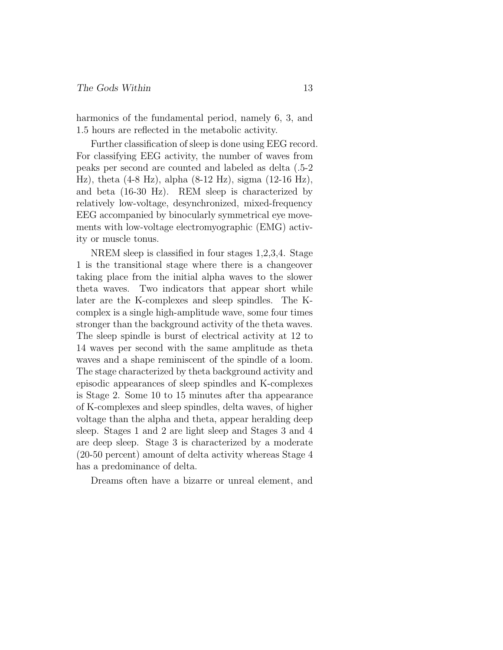harmonics of the fundamental period, namely 6, 3, and 1.5 hours are reflected in the metabolic activity.

Further classification of sleep is done using EEG record. For classifying EEG activity, the number of waves from peaks per second are counted and labeled as delta (.5-2 Hz), theta (4-8 Hz), alpha (8-12 Hz), sigma (12-16 Hz), and beta (16-30 Hz). REM sleep is characterized by relatively low-voltage, desynchronized, mixed-frequency EEG accompanied by binocularly symmetrical eye movements with low-voltage electromyographic (EMG) activity or muscle tonus.

NREM sleep is classified in four stages 1,2,3,4. Stage 1 is the transitional stage where there is a changeover taking place from the initial alpha waves to the slower theta waves. Two indicators that appear short while later are the K-complexes and sleep spindles. The Kcomplex is a single high-amplitude wave, some four times stronger than the background activity of the theta waves. The sleep spindle is burst of electrical activity at 12 to 14 waves per second with the same amplitude as theta waves and a shape reminiscent of the spindle of a loom. The stage characterized by theta background activity and episodic appearances of sleep spindles and K-complexes is Stage 2. Some 10 to 15 minutes after tha appearance of K-complexes and sleep spindles, delta waves, of higher voltage than the alpha and theta, appear heralding deep sleep. Stages 1 and 2 are light sleep and Stages 3 and 4 are deep sleep. Stage 3 is characterized by a moderate (20-50 percent) amount of delta activity whereas Stage 4 has a predominance of delta.

Dreams often have a bizarre or unreal element, and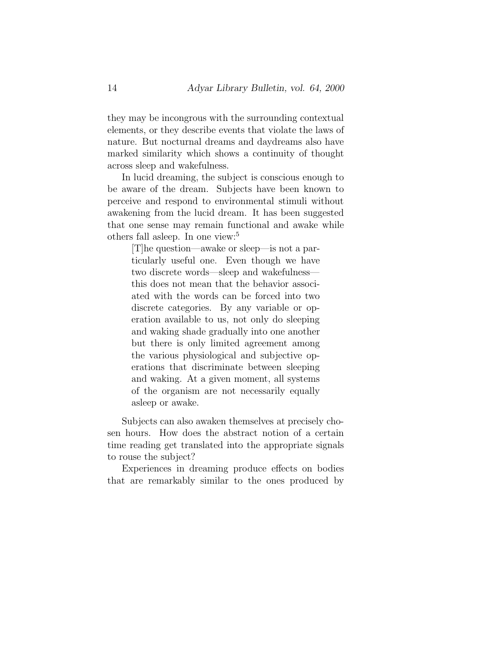they may be incongrous with the surrounding contextual elements, or they describe events that violate the laws of nature. But nocturnal dreams and daydreams also have marked similarity which shows a continuity of thought across sleep and wakefulness.

In lucid dreaming, the subject is conscious enough to be aware of the dream. Subjects have been known to perceive and respond to environmental stimuli without awakening from the lucid dream. It has been suggested that one sense may remain functional and awake while others fall asleep. In one view:<sup>5</sup>

[T]he question—awake or sleep—is not a particularly useful one. Even though we have two discrete words—sleep and wakefulness this does not mean that the behavior associated with the words can be forced into two discrete categories. By any variable or operation available to us, not only do sleeping and waking shade gradually into one another but there is only limited agreement among the various physiological and subjective operations that discriminate between sleeping and waking. At a given moment, all systems of the organism are not necessarily equally asleep or awake.

Subjects can also awaken themselves at precisely chosen hours. How does the abstract notion of a certain time reading get translated into the appropriate signals to rouse the subject?

Experiences in dreaming produce effects on bodies that are remarkably similar to the ones produced by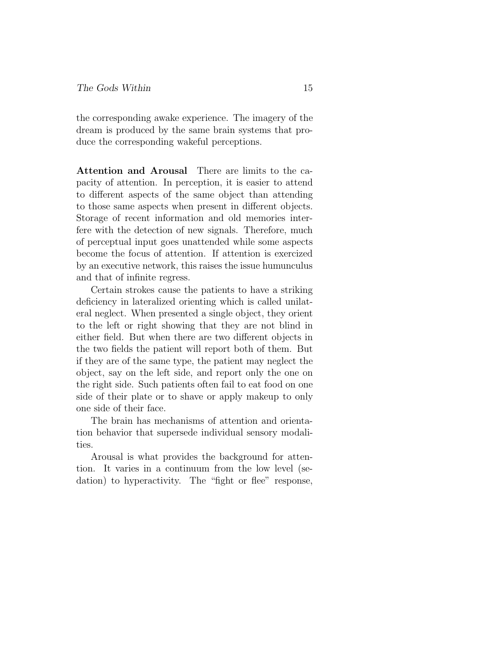the corresponding awake experience. The imagery of the dream is produced by the same brain systems that produce the corresponding wakeful perceptions.

**Attention and Arousal** There are limits to the capacity of attention. In perception, it is easier to attend to different aspects of the same object than attending to those same aspects when present in different objects. Storage of recent information and old memories interfere with the detection of new signals. Therefore, much of perceptual input goes unattended while some aspects become the focus of attention. If attention is exercized by an executive network, this raises the issue humunculus and that of infinite regress.

Certain strokes cause the patients to have a striking deficiency in lateralized orienting which is called unilateral neglect. When presented a single object, they orient to the left or right showing that they are not blind in either field. But when there are two different objects in the two fields the patient will report both of them. But if they are of the same type, the patient may neglect the object, say on the left side, and report only the one on the right side. Such patients often fail to eat food on one side of their plate or to shave or apply makeup to only one side of their face.

The brain has mechanisms of attention and orientation behavior that supersede individual sensory modalities.

Arousal is what provides the background for attention. It varies in a continuum from the low level (sedation) to hyperactivity. The "fight or flee" response,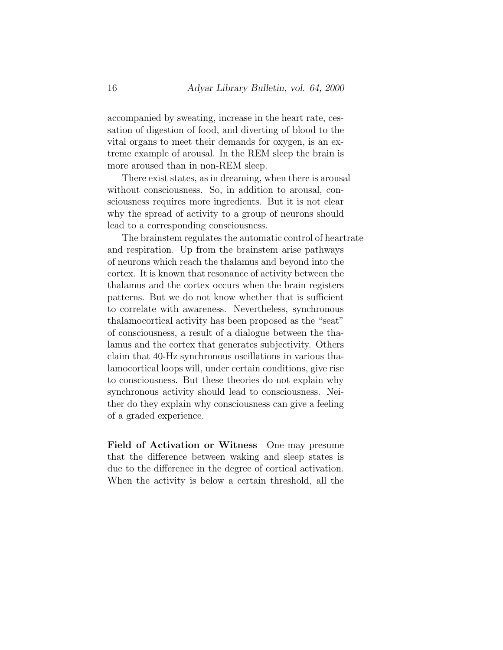accompanied by sweating, increase in the heart rate, cessation of digestion of food, and diverting of blood to the vital organs to meet their demands for oxygen, is an extreme example of arousal. In the REM sleep the brain is more aroused than in non-REM sleep.

There exist states, as in dreaming, when there is arousal without consciousness. So, in addition to arousal, consciousness requires more ingredients. But it is not clear why the spread of activity to a group of neurons should lead to a corresponding consciousness.

The brainstem regulates the automatic control of heartrate and respiration. Up from the brainstem arise pathways of neurons which reach the thalamus and beyond into the cortex. It is known that resonance of activity between the thalamus and the cortex occurs when the brain registers patterns. But we do not know whether that is sufficient to correlate with awareness. Nevertheless, synchronous thalamocortical activity has been proposed as the "seat" of consciousness, a result of a dialogue between the thalamus and the cortex that generates subjectivity. Others claim that 40-Hz synchronous oscillations in various thalamocortical loops will, under certain conditions, give rise to consciousness. But these theories do not explain why synchronous activity should lead to consciousness. Neither do they explain why consciousness can give a feeling of a graded experience.

**Field of Activation or Witness** One may presume that the difference between waking and sleep states is due to the difference in the degree of cortical activation. When the activity is below a certain threshold, all the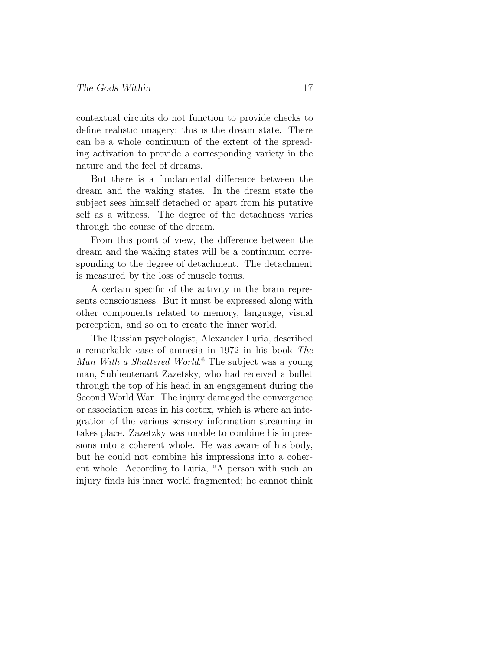contextual circuits do not function to provide checks to define realistic imagery; this is the dream state. There can be a whole continuum of the extent of the spreading activation to provide a corresponding variety in the nature and the feel of dreams.

But there is a fundamental difference between the dream and the waking states. In the dream state the subject sees himself detached or apart from his putative self as a witness. The degree of the detachness varies through the course of the dream.

From this point of view, the difference between the dream and the waking states will be a continuum corresponding to the degree of detachment. The detachment is measured by the loss of muscle tonus.

A certain specific of the activity in the brain represents consciousness. But it must be expressed along with other components related to memory, language, visual perception, and so on to create the inner world.

The Russian psychologist, Alexander Luria, described a remarkable case of amnesia in 1972 in his book The Man With a Shattered World. <sup>6</sup> The subject was a young man, Sublieutenant Zazetsky, who had received a bullet through the top of his head in an engagement during the Second World War. The injury damaged the convergence or association areas in his cortex, which is where an integration of the various sensory information streaming in takes place. Zazetzky was unable to combine his impressions into a coherent whole. He was aware of his body, but he could not combine his impressions into a coherent whole. According to Luria, "A person with such an injury finds his inner world fragmented; he cannot think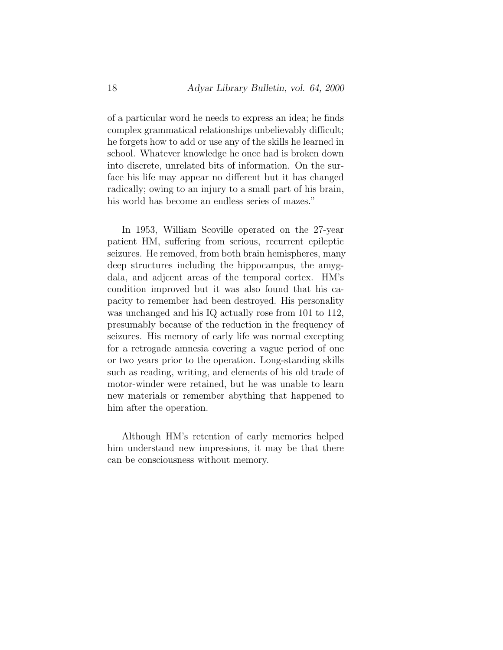of a particular word he needs to express an idea; he finds complex grammatical relationships unbelievably difficult; he forgets how to add or use any of the skills he learned in school. Whatever knowledge he once had is broken down into discrete, unrelated bits of information. On the surface his life may appear no different but it has changed radically; owing to an injury to a small part of his brain, his world has become an endless series of mazes."

In 1953, William Scoville operated on the 27-year patient HM, suffering from serious, recurrent epileptic seizures. He removed, from both brain hemispheres, many deep structures including the hippocampus, the amygdala, and adjcent areas of the temporal cortex. HM's condition improved but it was also found that his capacity to remember had been destroyed. His personality was unchanged and his IQ actually rose from 101 to 112, presumably because of the reduction in the frequency of seizures. His memory of early life was normal excepting for a retrogade amnesia covering a vague period of one or two years prior to the operation. Long-standing skills such as reading, writing, and elements of his old trade of motor-winder were retained, but he was unable to learn new materials or remember abything that happened to him after the operation.

Although HM's retention of early memories helped him understand new impressions, it may be that there can be consciousness without memory.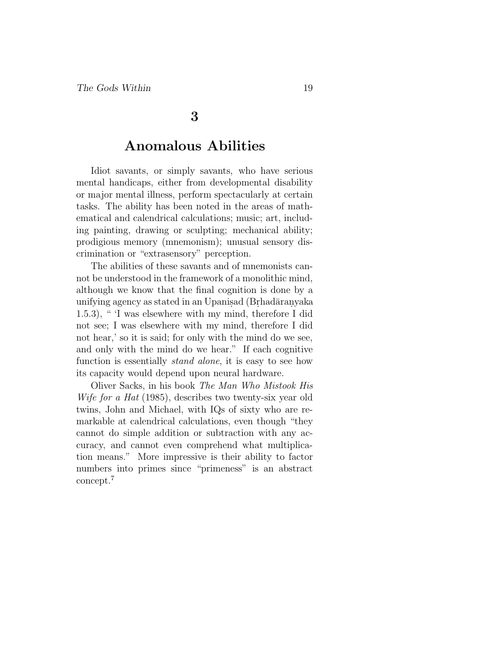#### **3**

### **Anomalous Abilities**

Idiot savants, or simply savants, who have serious mental handicaps, either from developmental disability or major mental illness, perform spectacularly at certain tasks. The ability has been noted in the areas of mathematical and calendrical calculations; music; art, including painting, drawing or sculpting; mechanical ability; prodigious memory (mnemonism); unusual sensory discrimination or "extrasensory" perception.

The abilities of these savants and of mnemonists cannot be understood in the framework of a monolithic mind, although we know that the final cognition is done by a unifying agency as stated in an Upanisad (Brhadāranyaka 1.5.3), " 'I was elsewhere with my mind, therefore I did not see; I was elsewhere with my mind, therefore I did not hear,' so it is said; for only with the mind do we see, and only with the mind do we hear." If each cognitive function is essentially *stand alone*, it is easy to see how its capacity would depend upon neural hardware.

Oliver Sacks, in his book The Man Who Mistook His Wife for a Hat (1985), describes two twenty-six year old twins, John and Michael, with IQs of sixty who are remarkable at calendrical calculations, even though "they cannot do simple addition or subtraction with any accuracy, and cannot even comprehend what multiplication means." More impressive is their ability to factor numbers into primes since "primeness" is an abstract concept.<sup>7</sup>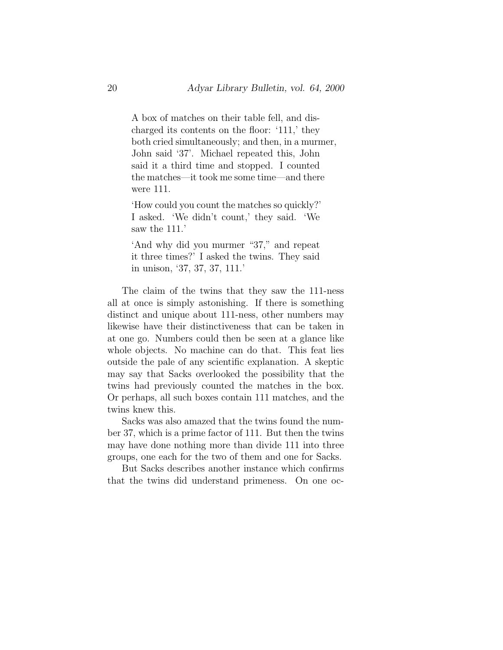A box of matches on their table fell, and discharged its contents on the floor: '111,' they both cried simultaneously; and then, in a murmer, John said '37'. Michael repeated this, John said it a third time and stopped. I counted the matches—it took me some time—and there were 111.

'How could you count the matches so quickly?' I asked. 'We didn't count,' they said. 'We saw the 111.

'And why did you murmer "37," and repeat it three times?' I asked the twins. They said in unison, '37, 37, 37, 111.'

The claim of the twins that they saw the 111-ness all at once is simply astonishing. If there is something distinct and unique about 111-ness, other numbers may likewise have their distinctiveness that can be taken in at one go. Numbers could then be seen at a glance like whole objects. No machine can do that. This feat lies outside the pale of any scientific explanation. A skeptic may say that Sacks overlooked the possibility that the twins had previously counted the matches in the box. Or perhaps, all such boxes contain 111 matches, and the twins knew this.

Sacks was also amazed that the twins found the number 37, which is a prime factor of 111. But then the twins may have done nothing more than divide 111 into three groups, one each for the two of them and one for Sacks.

But Sacks describes another instance which confirms that the twins did understand primeness. On one oc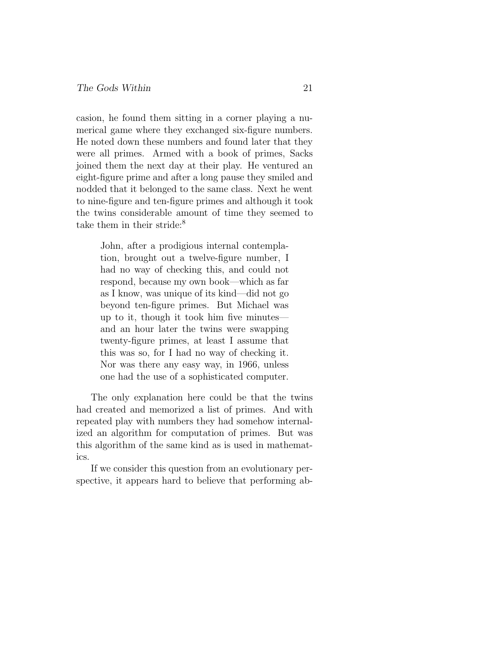casion, he found them sitting in a corner playing a numerical game where they exchanged six-figure numbers. He noted down these numbers and found later that they were all primes. Armed with a book of primes, Sacks joined them the next day at their play. He ventured an eight-figure prime and after a long pause they smiled and nodded that it belonged to the same class. Next he went to nine-figure and ten-figure primes and although it took the twins considerable amount of time they seemed to take them in their stride:<sup>8</sup>

> John, after a prodigious internal contemplation, brought out a twelve-figure number, I had no way of checking this, and could not respond, because my own book—which as far as I know, was unique of its kind—did not go beyond ten-figure primes. But Michael was up to it, though it took him five minutes and an hour later the twins were swapping twenty-figure primes, at least I assume that this was so, for I had no way of checking it. Nor was there any easy way, in 1966, unless one had the use of a sophisticated computer.

The only explanation here could be that the twins had created and memorized a list of primes. And with repeated play with numbers they had somehow internalized an algorithm for computation of primes. But was this algorithm of the same kind as is used in mathematics.

If we consider this question from an evolutionary perspective, it appears hard to believe that performing ab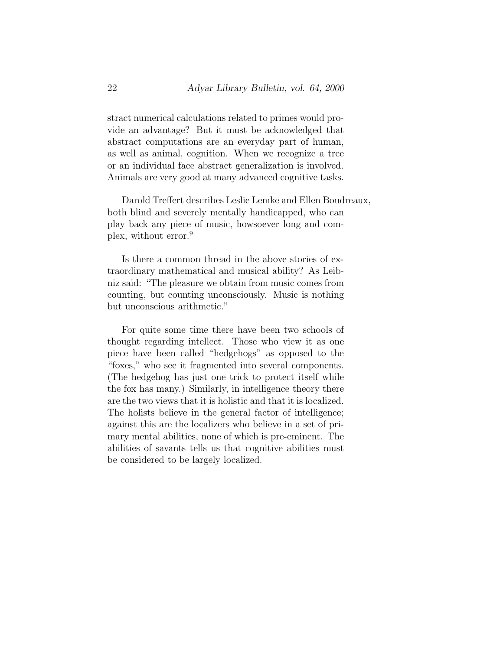stract numerical calculations related to primes would provide an advantage? But it must be acknowledged that abstract computations are an everyday part of human, as well as animal, cognition. When we recognize a tree or an individual face abstract generalization is involved. Animals are very good at many advanced cognitive tasks.

Darold Treffert describes Leslie Lemke and Ellen Boudreaux, both blind and severely mentally handicapped, who can play back any piece of music, howsoever long and complex, without error.<sup>9</sup>

Is there a common thread in the above stories of extraordinary mathematical and musical ability? As Leibniz said: "The pleasure we obtain from music comes from counting, but counting unconsciously. Music is nothing but unconscious arithmetic."

For quite some time there have been two schools of thought regarding intellect. Those who view it as one piece have been called "hedgehogs" as opposed to the "foxes," who see it fragmented into several components. (The hedgehog has just one trick to protect itself while the fox has many.) Similarly, in intelligence theory there are the two views that it is holistic and that it is localized. The holists believe in the general factor of intelligence; against this are the localizers who believe in a set of primary mental abilities, none of which is pre-eminent. The abilities of savants tells us that cognitive abilities must be considered to be largely localized.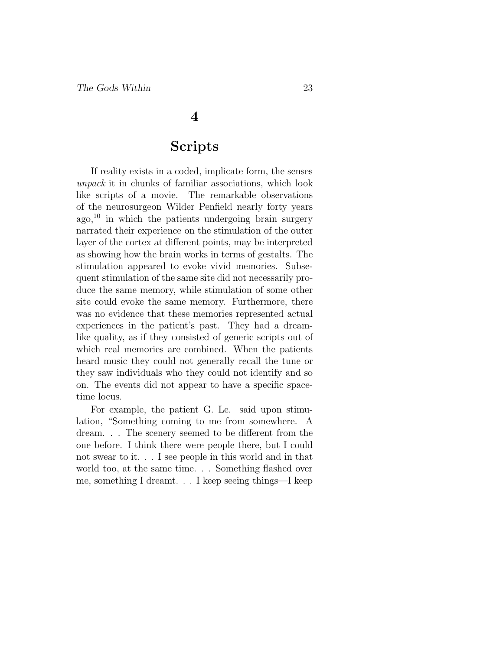#### **4**

### **Scripts**

If reality exists in a coded, implicate form, the senses unpack it in chunks of familiar associations, which look like scripts of a movie. The remarkable observations of the neurosurgeon Wilder Penfield nearly forty years  $a\text{g}o,$ <sup>10</sup> in which the patients undergoing brain surgery narrated their experience on the stimulation of the outer layer of the cortex at different points, may be interpreted as showing how the brain works in terms of gestalts. The stimulation appeared to evoke vivid memories. Subsequent stimulation of the same site did not necessarily produce the same memory, while stimulation of some other site could evoke the same memory. Furthermore, there was no evidence that these memories represented actual experiences in the patient's past. They had a dreamlike quality, as if they consisted of generic scripts out of which real memories are combined. When the patients heard music they could not generally recall the tune or they saw individuals who they could not identify and so on. The events did not appear to have a specific spacetime locus.

For example, the patient G. Le. said upon stimulation, "Something coming to me from somewhere. A dream. . . The scenery seemed to be different from the one before. I think there were people there, but I could not swear to it. . . I see people in this world and in that world too, at the same time. . . Something flashed over me, something I dreamt. . . I keep seeing things—I keep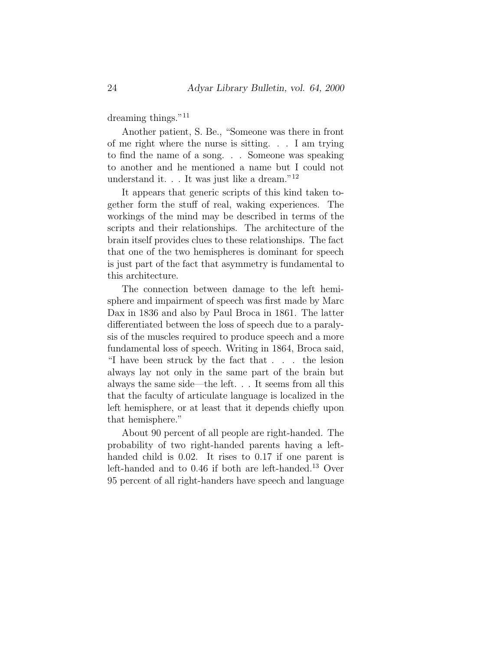dreaming things."<sup>11</sup>

Another patient, S. Be., "Someone was there in front of me right where the nurse is sitting. . . I am trying to find the name of a song. . . Someone was speaking to another and he mentioned a name but I could not understand it.  $\therefore$  It was just like a dream."<sup>12</sup>

It appears that generic scripts of this kind taken together form the stuff of real, waking experiences. The workings of the mind may be described in terms of the scripts and their relationships. The architecture of the brain itself provides clues to these relationships. The fact that one of the two hemispheres is dominant for speech is just part of the fact that asymmetry is fundamental to this architecture.

The connection between damage to the left hemisphere and impairment of speech was first made by Marc Dax in 1836 and also by Paul Broca in 1861. The latter differentiated between the loss of speech due to a paralysis of the muscles required to produce speech and a more fundamental loss of speech. Writing in 1864, Broca said, "I have been struck by the fact that . . . the lesion always lay not only in the same part of the brain but always the same side—the left. . . It seems from all this that the faculty of articulate language is localized in the left hemisphere, or at least that it depends chiefly upon that hemisphere."

About 90 percent of all people are right-handed. The probability of two right-handed parents having a lefthanded child is 0.02. It rises to 0.17 if one parent is left-handed and to 0.46 if both are left-handed.<sup>13</sup> Over 95 percent of all right-handers have speech and language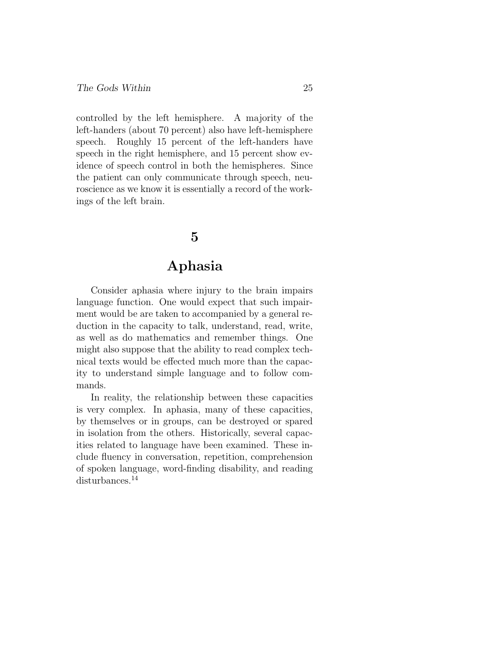controlled by the left hemisphere. A majority of the left-handers (about 70 percent) also have left-hemisphere speech. Roughly 15 percent of the left-handers have speech in the right hemisphere, and 15 percent show evidence of speech control in both the hemispheres. Since the patient can only communicate through speech, neuroscience as we know it is essentially a record of the workings of the left brain.

### **5**

### **Aphasia**

Consider aphasia where injury to the brain impairs language function. One would expect that such impairment would be are taken to accompanied by a general reduction in the capacity to talk, understand, read, write, as well as do mathematics and remember things. One might also suppose that the ability to read complex technical texts would be effected much more than the capacity to understand simple language and to follow commands.

In reality, the relationship between these capacities is very complex. In aphasia, many of these capacities, by themselves or in groups, can be destroyed or spared in isolation from the others. Historically, several capacities related to language have been examined. These include fluency in conversation, repetition, comprehension of spoken language, word-finding disability, and reading disturbances.<sup>14</sup>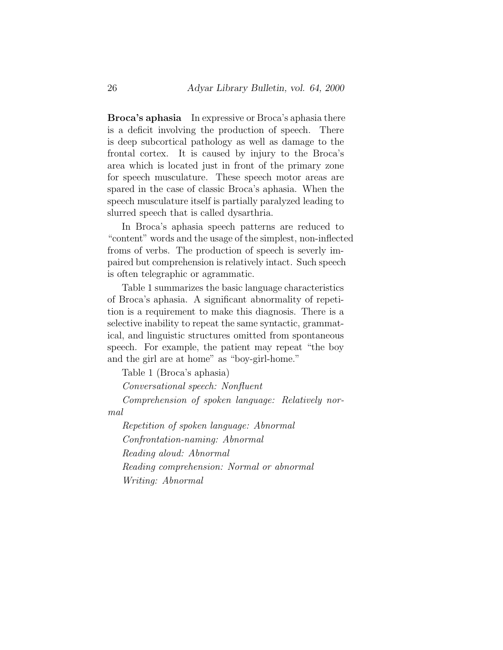**Broca's aphasia** In expressive or Broca's aphasia there is a deficit involving the production of speech. There is deep subcortical pathology as well as damage to the frontal cortex. It is caused by injury to the Broca's area which is located just in front of the primary zone for speech musculature. These speech motor areas are spared in the case of classic Broca's aphasia. When the speech musculature itself is partially paralyzed leading to slurred speech that is called dysarthria.

In Broca's aphasia speech patterns are reduced to "content" words and the usage of the simplest, non-inflected froms of verbs. The production of speech is severly impaired but comprehension is relatively intact. Such speech is often telegraphic or agrammatic.

Table 1 summarizes the basic language characteristics of Broca's aphasia. A significant abnormality of repetition is a requirement to make this diagnosis. There is a selective inability to repeat the same syntactic, grammatical, and linguistic structures omitted from spontaneous speech. For example, the patient may repeat "the boy and the girl are at home" as "boy-girl-home."

Table 1 (Broca's aphasia)

Conversational speech: Nonfluent

Comprehension of spoken language: Relatively normal

Repetition of spoken language: Abnormal Confrontation-naming: Abnormal Reading aloud: Abnormal Reading comprehension: Normal or abnormal Writing: Abnormal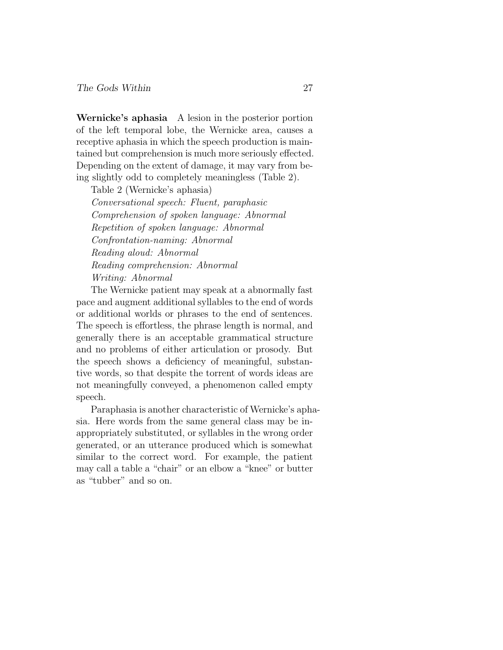**Wernicke's aphasia** A lesion in the posterior portion of the left temporal lobe, the Wernicke area, causes a receptive aphasia in which the speech production is maintained but comprehension is much more seriously effected. Depending on the extent of damage, it may vary from being slightly odd to completely meaningless (Table 2).

Table 2 (Wernicke's aphasia) Conversational speech: Fluent, paraphasic Comprehension of spoken language: Abnormal Repetition of spoken language: Abnormal Confrontation-naming: Abnormal Reading aloud: Abnormal Reading comprehension: Abnormal Writing: Abnormal

The Wernicke patient may speak at a abnormally fast pace and augment additional syllables to the end of words or additional worlds or phrases to the end of sentences. The speech is effortless, the phrase length is normal, and generally there is an acceptable grammatical structure and no problems of either articulation or prosody. But the speech shows a deficiency of meaningful, substantive words, so that despite the torrent of words ideas are not meaningfully conveyed, a phenomenon called empty speech.

Paraphasia is another characteristic of Wernicke's aphasia. Here words from the same general class may be inappropriately substituted, or syllables in the wrong order generated, or an utterance produced which is somewhat similar to the correct word. For example, the patient may call a table a "chair" or an elbow a "knee" or butter as "tubber" and so on.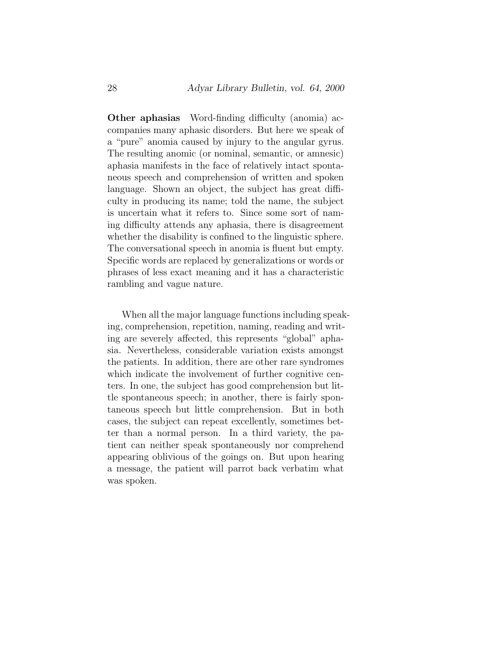**Other aphasias** Word-finding difficulty (anomia) accompanies many aphasic disorders. But here we speak of a "pure" anomia caused by injury to the angular gyrus. The resulting anomic (or nominal, semantic, or amnesic) aphasia manifests in the face of relatively intact spontaneous speech and comprehension of written and spoken language. Shown an object, the subject has great difficulty in producing its name; told the name, the subject is uncertain what it refers to. Since some sort of naming difficulty attends any aphasia, there is disagreement whether the disability is confined to the linguistic sphere. The conversational speech in anomia is fluent but empty. Specific words are replaced by generalizations or words or phrases of less exact meaning and it has a characteristic rambling and vague nature.

When all the major language functions including speaking, comprehension, repetition, naming, reading and writing are severely affected, this represents "global" aphasia. Nevertheless, considerable variation exists amongst the patients. In addition, there are other rare syndromes which indicate the involvement of further cognitive centers. In one, the subject has good comprehension but little spontaneous speech; in another, there is fairly spontaneous speech but little comprehension. But in both cases, the subject can repeat excellently, sometimes better than a normal person. In a third variety, the patient can neither speak spontaneously nor comprehend appearing oblivious of the goings on. But upon hearing a message, the patient will parrot back verbatim what was spoken.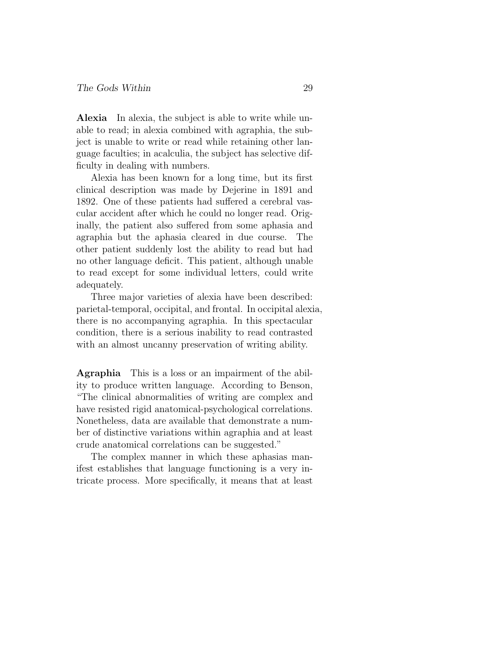**Alexia** In alexia, the subject is able to write while unable to read; in alexia combined with agraphia, the subject is unable to write or read while retaining other language faculties; in acalculia, the subject has selective difficulty in dealing with numbers.

Alexia has been known for a long time, but its first clinical description was made by Dejerine in 1891 and 1892. One of these patients had suffered a cerebral vascular accident after which he could no longer read. Originally, the patient also suffered from some aphasia and agraphia but the aphasia cleared in due course. The other patient suddenly lost the ability to read but had no other language deficit. This patient, although unable to read except for some individual letters, could write adequately.

Three major varieties of alexia have been described: parietal-temporal, occipital, and frontal. In occipital alexia, there is no accompanying agraphia. In this spectacular condition, there is a serious inability to read contrasted with an almost uncanny preservation of writing ability.

**Agraphia** This is a loss or an impairment of the ability to produce written language. According to Benson, "The clinical abnormalities of writing are complex and have resisted rigid anatomical-psychological correlations. Nonetheless, data are available that demonstrate a number of distinctive variations within agraphia and at least crude anatomical correlations can be suggested."

The complex manner in which these aphasias manifest establishes that language functioning is a very intricate process. More specifically, it means that at least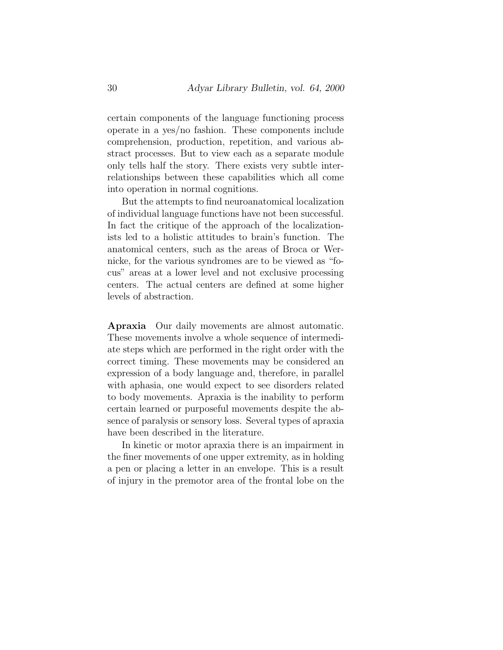certain components of the language functioning process operate in a yes/no fashion. These components include comprehension, production, repetition, and various abstract processes. But to view each as a separate module only tells half the story. There exists very subtle interrelationships between these capabilities which all come into operation in normal cognitions.

But the attempts to find neuroanatomical localization of individual language functions have not been successful. In fact the critique of the approach of the localizationists led to a holistic attitudes to brain's function. The anatomical centers, such as the areas of Broca or Wernicke, for the various syndromes are to be viewed as "focus" areas at a lower level and not exclusive processing centers. The actual centers are defined at some higher levels of abstraction.

**Apraxia** Our daily movements are almost automatic. These movements involve a whole sequence of intermediate steps which are performed in the right order with the correct timing. These movements may be considered an expression of a body language and, therefore, in parallel with aphasia, one would expect to see disorders related to body movements. Apraxia is the inability to perform certain learned or purposeful movements despite the absence of paralysis or sensory loss. Several types of apraxia have been described in the literature.

In kinetic or motor apraxia there is an impairment in the finer movements of one upper extremity, as in holding a pen or placing a letter in an envelope. This is a result of injury in the premotor area of the frontal lobe on the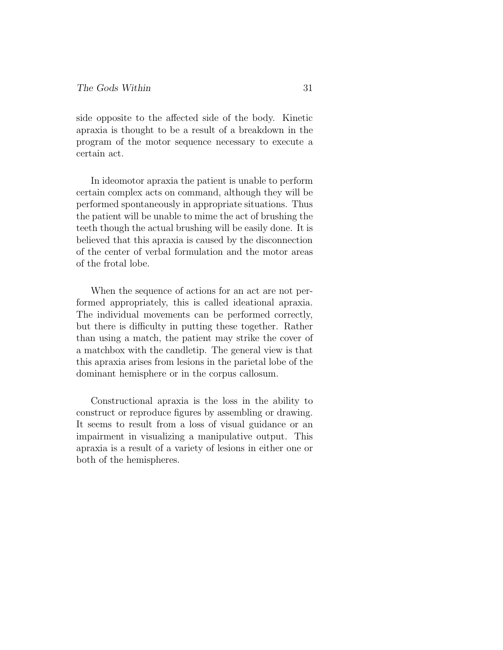side opposite to the affected side of the body. Kinetic apraxia is thought to be a result of a breakdown in the program of the motor sequence necessary to execute a certain act.

In ideomotor apraxia the patient is unable to perform certain complex acts on command, although they will be performed spontaneously in appropriate situations. Thus the patient will be unable to mime the act of brushing the teeth though the actual brushing will be easily done. It is believed that this apraxia is caused by the disconnection of the center of verbal formulation and the motor areas of the frotal lobe.

When the sequence of actions for an act are not performed appropriately, this is called ideational apraxia. The individual movements can be performed correctly, but there is difficulty in putting these together. Rather than using a match, the patient may strike the cover of a matchbox with the candletip. The general view is that this apraxia arises from lesions in the parietal lobe of the dominant hemisphere or in the corpus callosum.

Constructional apraxia is the loss in the ability to construct or reproduce figures by assembling or drawing. It seems to result from a loss of visual guidance or an impairment in visualizing a manipulative output. This apraxia is a result of a variety of lesions in either one or both of the hemispheres.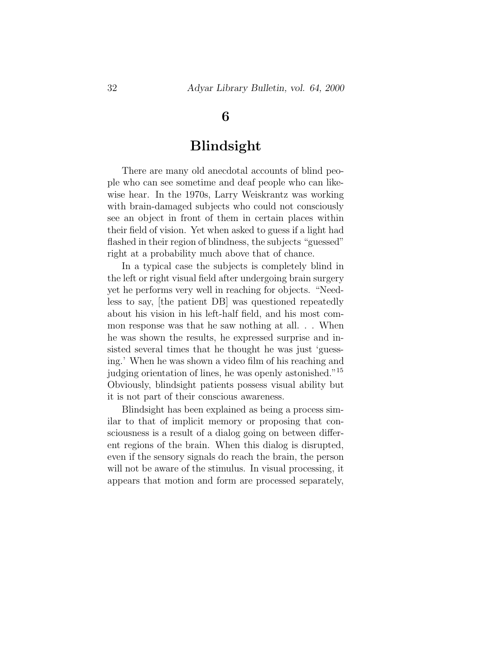### **6**

### **Blindsight**

There are many old anecdotal accounts of blind people who can see sometime and deaf people who can likewise hear. In the 1970s, Larry Weiskrantz was working with brain-damaged subjects who could not consciously see an object in front of them in certain places within their field of vision. Yet when asked to guess if a light had flashed in their region of blindness, the subjects "guessed" right at a probability much above that of chance.

In a typical case the subjects is completely blind in the left or right visual field after undergoing brain surgery yet he performs very well in reaching for objects. "Needless to say, [the patient DB] was questioned repeatedly about his vision in his left-half field, and his most common response was that he saw nothing at all. . . When he was shown the results, he expressed surprise and insisted several times that he thought he was just 'guessing.' When he was shown a video film of his reaching and judging orientation of lines, he was openly astonished."<sup>15</sup> Obviously, blindsight patients possess visual ability but it is not part of their conscious awareness.

Blindsight has been explained as being a process similar to that of implicit memory or proposing that consciousness is a result of a dialog going on between different regions of the brain. When this dialog is disrupted, even if the sensory signals do reach the brain, the person will not be aware of the stimulus. In visual processing, it appears that motion and form are processed separately,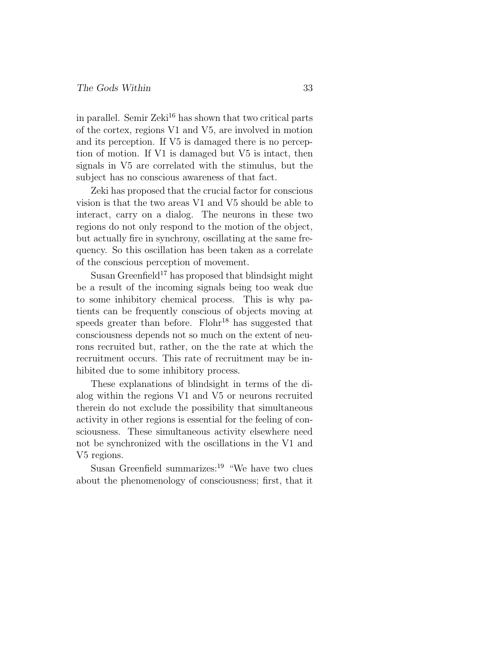in parallel. Semir Zeki<sup>16</sup> has shown that two critical parts of the cortex, regions V1 and V5, are involved in motion and its perception. If V5 is damaged there is no perception of motion. If V1 is damaged but V5 is intact, then signals in V5 are correlated with the stimulus, but the subject has no conscious awareness of that fact.

Zeki has proposed that the crucial factor for conscious vision is that the two areas V1 and V5 should be able to interact, carry on a dialog. The neurons in these two regions do not only respond to the motion of the object, but actually fire in synchrony, oscillating at the same frequency. So this oscillation has been taken as a correlate of the conscious perception of movement.

Susan Greenfield<sup>17</sup> has proposed that blindsight might be a result of the incoming signals being too weak due to some inhibitory chemical process. This is why patients can be frequently conscious of objects moving at speeds greater than before. Flohr<sup>18</sup> has suggested that consciousness depends not so much on the extent of neurons recruited but, rather, on the the rate at which the recruitment occurs. This rate of recruitment may be inhibited due to some inhibitory process.

These explanations of blindsight in terms of the dialog within the regions V1 and V5 or neurons recruited therein do not exclude the possibility that simultaneous activity in other regions is essential for the feeling of consciousness. These simultaneous activity elsewhere need not be synchronized with the oscillations in the V1 and V5 regions.

Susan Greenfield summarizes:<sup>19</sup> "We have two clues about the phenomenology of consciousness; first, that it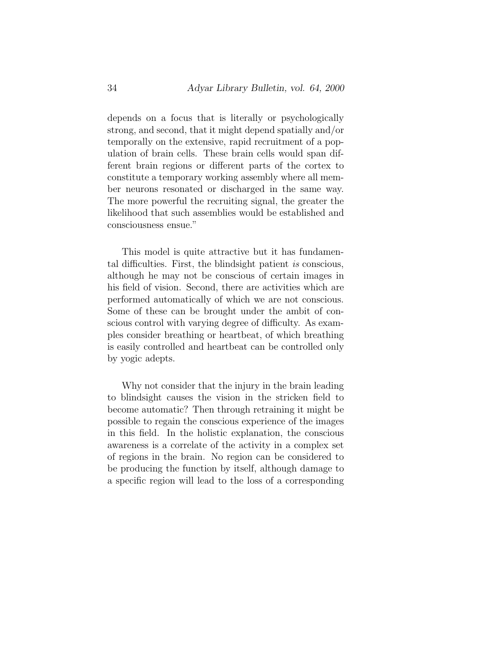depends on a focus that is literally or psychologically strong, and second, that it might depend spatially and/or temporally on the extensive, rapid recruitment of a population of brain cells. These brain cells would span different brain regions or different parts of the cortex to constitute a temporary working assembly where all member neurons resonated or discharged in the same way. The more powerful the recruiting signal, the greater the likelihood that such assemblies would be established and consciousness ensue."

This model is quite attractive but it has fundamental difficulties. First, the blindsight patient is conscious, although he may not be conscious of certain images in his field of vision. Second, there are activities which are performed automatically of which we are not conscious. Some of these can be brought under the ambit of conscious control with varying degree of difficulty. As examples consider breathing or heartbeat, of which breathing is easily controlled and heartbeat can be controlled only by yogic adepts.

Why not consider that the injury in the brain leading to blindsight causes the vision in the stricken field to become automatic? Then through retraining it might be possible to regain the conscious experience of the images in this field. In the holistic explanation, the conscious awareness is a correlate of the activity in a complex set of regions in the brain. No region can be considered to be producing the function by itself, although damage to a specific region will lead to the loss of a corresponding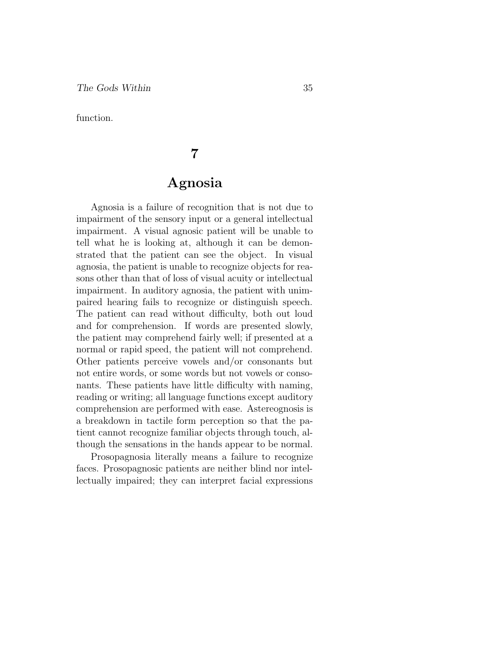function.

## **7**

### **Agnosia**

Agnosia is a failure of recognition that is not due to impairment of the sensory input or a general intellectual impairment. A visual agnosic patient will be unable to tell what he is looking at, although it can be demonstrated that the patient can see the object. In visual agnosia, the patient is unable to recognize objects for reasons other than that of loss of visual acuity or intellectual impairment. In auditory agnosia, the patient with unimpaired hearing fails to recognize or distinguish speech. The patient can read without difficulty, both out loud and for comprehension. If words are presented slowly, the patient may comprehend fairly well; if presented at a normal or rapid speed, the patient will not comprehend. Other patients perceive vowels and/or consonants but not entire words, or some words but not vowels or consonants. These patients have little difficulty with naming, reading or writing; all language functions except auditory comprehension are performed with ease. Astereognosis is a breakdown in tactile form perception so that the patient cannot recognize familiar objects through touch, although the sensations in the hands appear to be normal.

Prosopagnosia literally means a failure to recognize faces. Prosopagnosic patients are neither blind nor intellectually impaired; they can interpret facial expressions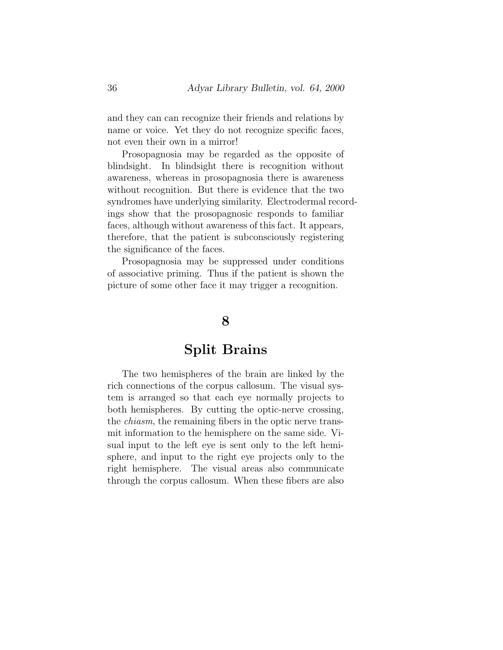and they can can recognize their friends and relations by name or voice. Yet they do not recognize specific faces, not even their own in a mirror!

Prosopagnosia may be regarded as the opposite of blindsight. In blindsight there is recognition without awareness, whereas in prosopagnosia there is awareness without recognition. But there is evidence that the two syndromes have underlying similarity. Electrodermal recordings show that the prosopagnosic responds to familiar faces, although without awareness of this fact. It appears, therefore, that the patient is subconsciously registering the significance of the faces.

Prosopagnosia may be suppressed under conditions of associative priming. Thus if the patient is shown the picture of some other face it may trigger a recognition.

### **8**

### **Split Brains**

The two hemispheres of the brain are linked by the rich connections of the corpus callosum. The visual system is arranged so that each eye normally projects to both hemispheres. By cutting the optic-nerve crossing, the chiasm, the remaining fibers in the optic nerve transmit information to the hemisphere on the same side. Visual input to the left eye is sent only to the left hemisphere, and input to the right eye projects only to the right hemisphere. The visual areas also communicate through the corpus callosum. When these fibers are also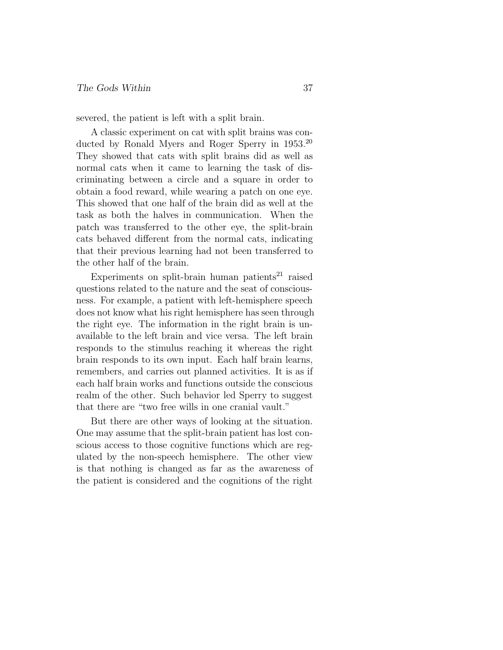severed, the patient is left with a split brain.

A classic experiment on cat with split brains was conducted by Ronald Myers and Roger Sperry in 1953.<sup>20</sup> They showed that cats with split brains did as well as normal cats when it came to learning the task of discriminating between a circle and a square in order to obtain a food reward, while wearing a patch on one eye. This showed that one half of the brain did as well at the task as both the halves in communication. When the patch was transferred to the other eye, the split-brain cats behaved different from the normal cats, indicating that their previous learning had not been transferred to the other half of the brain.

Experiments on split-brain human patients<sup>21</sup> raised questions related to the nature and the seat of consciousness. For example, a patient with left-hemisphere speech does not know what his right hemisphere has seen through the right eye. The information in the right brain is unavailable to the left brain and vice versa. The left brain responds to the stimulus reaching it whereas the right brain responds to its own input. Each half brain learns, remembers, and carries out planned activities. It is as if each half brain works and functions outside the conscious realm of the other. Such behavior led Sperry to suggest that there are "two free wills in one cranial vault."

But there are other ways of looking at the situation. One may assume that the split-brain patient has lost conscious access to those cognitive functions which are regulated by the non-speech hemisphere. The other view is that nothing is changed as far as the awareness of the patient is considered and the cognitions of the right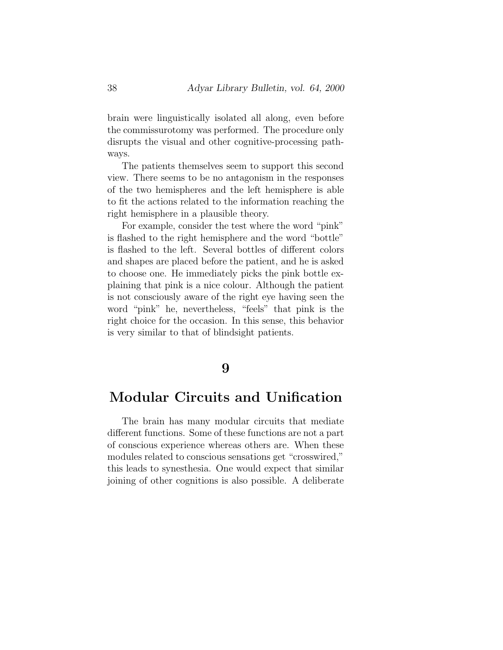brain were linguistically isolated all along, even before the commissurotomy was performed. The procedure only disrupts the visual and other cognitive-processing pathways.

The patients themselves seem to support this second view. There seems to be no antagonism in the responses of the two hemispheres and the left hemisphere is able to fit the actions related to the information reaching the right hemisphere in a plausible theory.

For example, consider the test where the word "pink" is flashed to the right hemisphere and the word "bottle" is flashed to the left. Several bottles of different colors and shapes are placed before the patient, and he is asked to choose one. He immediately picks the pink bottle explaining that pink is a nice colour. Although the patient is not consciously aware of the right eye having seen the word "pink" he, nevertheless, "feels" that pink is the right choice for the occasion. In this sense, this behavior is very similar to that of blindsight patients.

#### **9**

### **Modular Circuits and Unification**

The brain has many modular circuits that mediate different functions. Some of these functions are not a part of conscious experience whereas others are. When these modules related to conscious sensations get "crosswired," this leads to synesthesia. One would expect that similar joining of other cognitions is also possible. A deliberate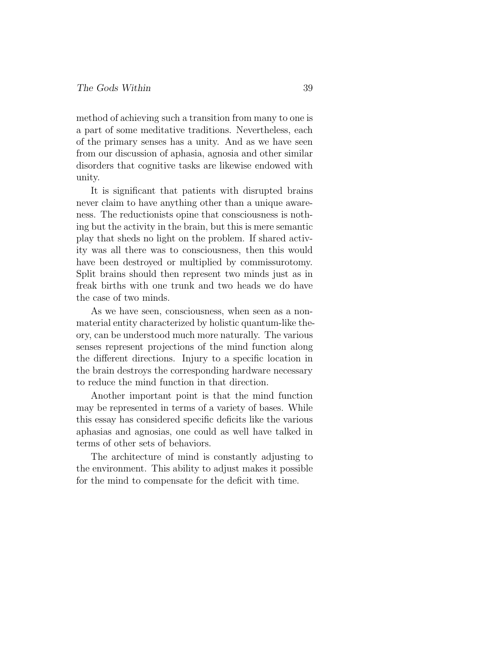method of achieving such a transition from many to one is a part of some meditative traditions. Nevertheless, each of the primary senses has a unity. And as we have seen from our discussion of aphasia, agnosia and other similar disorders that cognitive tasks are likewise endowed with unity.

It is significant that patients with disrupted brains never claim to have anything other than a unique awareness. The reductionists opine that consciousness is nothing but the activity in the brain, but this is mere semantic play that sheds no light on the problem. If shared activity was all there was to consciousness, then this would have been destroyed or multiplied by commissurotomy. Split brains should then represent two minds just as in freak births with one trunk and two heads we do have the case of two minds.

As we have seen, consciousness, when seen as a nonmaterial entity characterized by holistic quantum-like theory, can be understood much more naturally. The various senses represent projections of the mind function along the different directions. Injury to a specific location in the brain destroys the corresponding hardware necessary to reduce the mind function in that direction.

Another important point is that the mind function may be represented in terms of a variety of bases. While this essay has considered specific deficits like the various aphasias and agnosias, one could as well have talked in terms of other sets of behaviors.

The architecture of mind is constantly adjusting to the environment. This ability to adjust makes it possible for the mind to compensate for the deficit with time.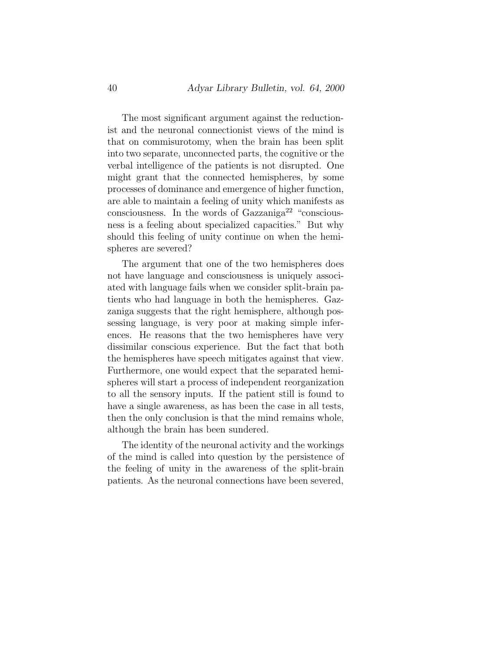The most significant argument against the reductionist and the neuronal connectionist views of the mind is that on commisurotomy, when the brain has been split into two separate, unconnected parts, the cognitive or the verbal intelligence of the patients is not disrupted. One might grant that the connected hemispheres, by some processes of dominance and emergence of higher function, are able to maintain a feeling of unity which manifests as consciousness. In the words of Gazzaniga<sup>22</sup> "consciousness is a feeling about specialized capacities." But why should this feeling of unity continue on when the hemispheres are severed?

The argument that one of the two hemispheres does not have language and consciousness is uniquely associated with language fails when we consider split-brain patients who had language in both the hemispheres. Gazzaniga suggests that the right hemisphere, although possessing language, is very poor at making simple inferences. He reasons that the two hemispheres have very dissimilar conscious experience. But the fact that both the hemispheres have speech mitigates against that view. Furthermore, one would expect that the separated hemispheres will start a process of independent reorganization to all the sensory inputs. If the patient still is found to have a single awareness, as has been the case in all tests, then the only conclusion is that the mind remains whole, although the brain has been sundered.

The identity of the neuronal activity and the workings of the mind is called into question by the persistence of the feeling of unity in the awareness of the split-brain patients. As the neuronal connections have been severed,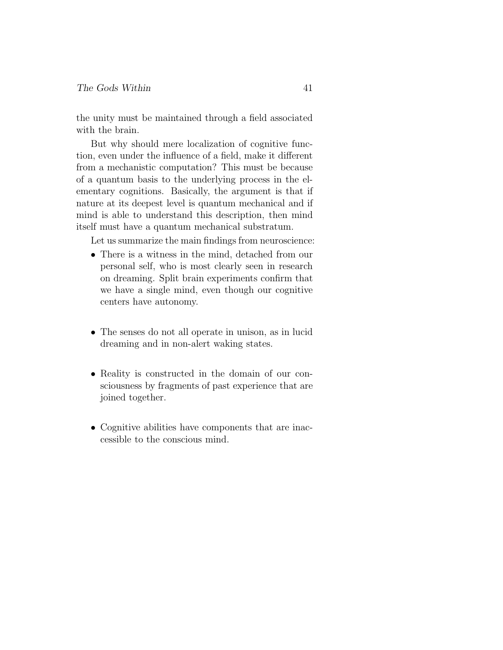the unity must be maintained through a field associated with the brain.

But why should mere localization of cognitive function, even under the influence of a field, make it different from a mechanistic computation? This must be because of a quantum basis to the underlying process in the elementary cognitions. Basically, the argument is that if nature at its deepest level is quantum mechanical and if mind is able to understand this description, then mind itself must have a quantum mechanical substratum.

Let us summarize the main findings from neuroscience:

- There is a witness in the mind, detached from our personal self, who is most clearly seen in research on dreaming. Split brain experiments confirm that we have a single mind, even though our cognitive centers have autonomy.
- The senses do not all operate in unison, as in lucid dreaming and in non-alert waking states.
- Reality is constructed in the domain of our consciousness by fragments of past experience that are joined together.
- Cognitive abilities have components that are inaccessible to the conscious mind.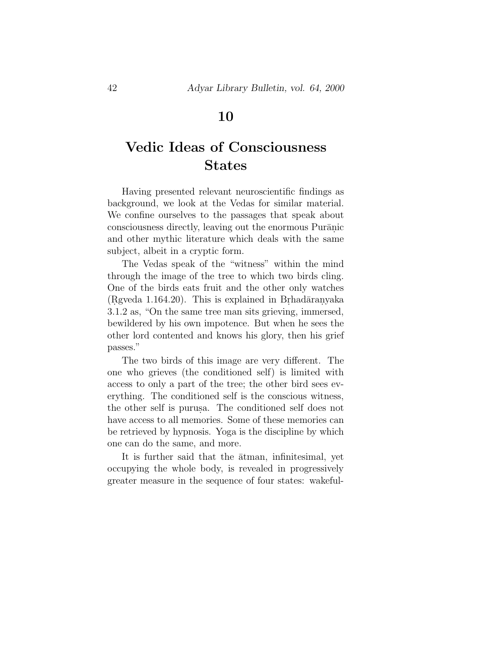### **10**

# **Vedic Ideas of Consciousness States**

Having presented relevant neuroscientific findings as background, we look at the Vedas for similar material. We confine ourselves to the passages that speak about consciousness directly, leaving out the enormous Purānic and other mythic literature which deals with the same subject, albeit in a cryptic form.

The Vedas speak of the "witness" within the mind through the image of the tree to which two birds cling. One of the birds eats fruit and the other only watches  $(Rgveda 1.164.20)$ . This is explained in Brhad $\bar{a}$ ranyaka 3.1.2 as, "On the same tree man sits grieving, immersed, bewildered by his own impotence. But when he sees the other lord contented and knows his glory, then his grief passes."

The two birds of this image are very different. The one who grieves (the conditioned self) is limited with access to only a part of the tree; the other bird sees everything. The conditioned self is the conscious witness, the other self is purus. The conditioned self does not have access to all memories. Some of these memories can be retrieved by hypnosis. Yoga is the discipline by which one can do the same, and more.

It is further said that the  $\bar{a}$ tman, infinitesimal, yet occupying the whole body, is revealed in progressively greater measure in the sequence of four states: wakeful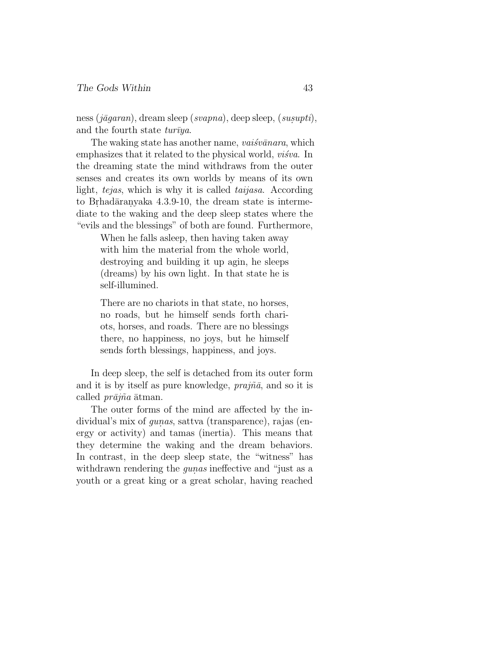ness ( $j\bar{a}qaran$ ), dream sleep (svapna), deep sleep, (susupti), and the fourth state  $tur\bar{v}ya$ .

The waking state has another name, *vai*sv $\bar{a}$ nara, which emphasizes that it related to the physical world,  $visiva$ . In the dreaming state the mind withdraws from the outer senses and creates its own worlds by means of its own light, tejas, which is why it is called taijasa. According to Brhad $\bar{a}$ ranyaka 4.3.9-10, the dream state is intermediate to the waking and the deep sleep states where the "evils and the blessings" of both are found. Furthermore,

> When he falls asleep, then having taken away with him the material from the whole world, destroying and building it up agin, he sleeps (dreams) by his own light. In that state he is self-illumined.

> There are no chariots in that state, no horses, no roads, but he himself sends forth chariots, horses, and roads. There are no blessings there, no happiness, no joys, but he himself sends forth blessings, happiness, and joys.

In deep sleep, the self is detached from its outer form and it is by itself as pure knowledge,  $prajn\bar{a}$ , and so it is called  $pr\bar{a}j\tilde{n}a$   $\bar{a}t$ man.

The outer forms of the mind are affected by the individual's mix of *qunas*, sattva (transparence), rajas (energy or activity) and tamas (inertia). This means that they determine the waking and the dream behaviors. In contrast, in the deep sleep state, the "witness" has withdrawn rendering the *gunas* ineffective and "just as a youth or a great king or a great scholar, having reached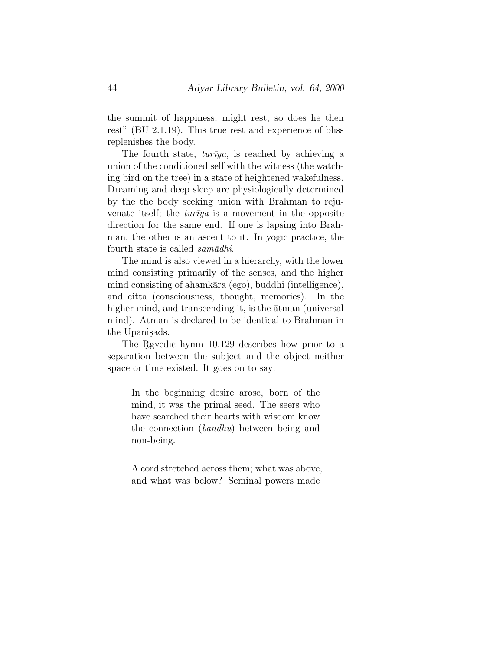the summit of happiness, might rest, so does he then rest" (BU 2.1.19). This true rest and experience of bliss replenishes the body.

The fourth state,  $turiya$ , is reached by achieving a union of the conditioned self with the witness (the watching bird on the tree) in a state of heightened wakefulness. Dreaming and deep sleep are physiologically determined by the the body seeking union with Brahman to rejuvenate itself; the  $tur\bar{v}ya$  is a movement in the opposite direction for the same end. If one is lapsing into Brahman, the other is an ascent to it. In yogic practice, the fourth state is called  $sam\bar{a}dhi$ .

The mind is also viewed in a hierarchy, with the lower mind consisting primarily of the senses, and the higher mind consisting of ahamkāra (ego), buddhi (intelligence), and citta (consciousness, thought, memories). In the higher mind, and transcending it, is the  $\bar{a}$ tman (universal mind). Atman is declared to be identical to Brahman in the Upanisads.

The Rgvedic hymn 10.129 describes how prior to a separation between the subject and the object neither space or time existed. It goes on to say:

In the beginning desire arose, born of the mind, it was the primal seed. The seers who have searched their hearts with wisdom know the connection (bandhu) between being and non-being.

A cord stretched across them; what was above, and what was below? Seminal powers made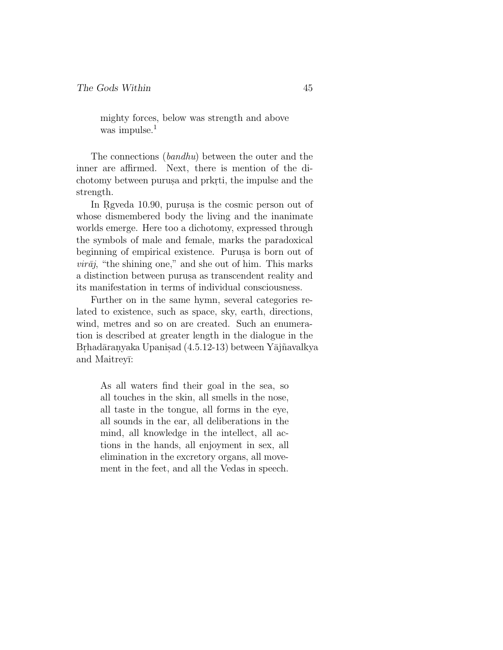mighty forces, below was strength and above was impulse.<sup>1</sup>

The connections (bandhu) between the outer and the inner are affirmed. Next, there is mention of the dichotomy between purus a and prkrti, the impulse and the strength.

In Rgveda 10.90, purus is the cosmic person out of whose dismembered body the living and the inanimate worlds emerge. Here too a dichotomy, expressed through the symbols of male and female, marks the paradoxical beginning of empirical existence. Purus a is born out of  $vir\bar{a}j$ , "the shining one," and she out of him. This marks a distinction between purus aas transcendent reality and its manifestation in terms of individual consciousness.

Further on in the same hymn, several categories related to existence, such as space, sky, earth, directions, wind, metres and so on are created. Such an enumeration is described at greater length in the dialogue in the Brhadāranyaka Upanis.ad  $(4.5.12-13)$  between Yājñavalkya and Maitrey¯ı:

> As all waters find their goal in the sea, so all touches in the skin, all smells in the nose, all taste in the tongue, all forms in the eye, all sounds in the ear, all deliberations in the mind, all knowledge in the intellect, all actions in the hands, all enjoyment in sex, all elimination in the excretory organs, all movement in the feet, and all the Vedas in speech.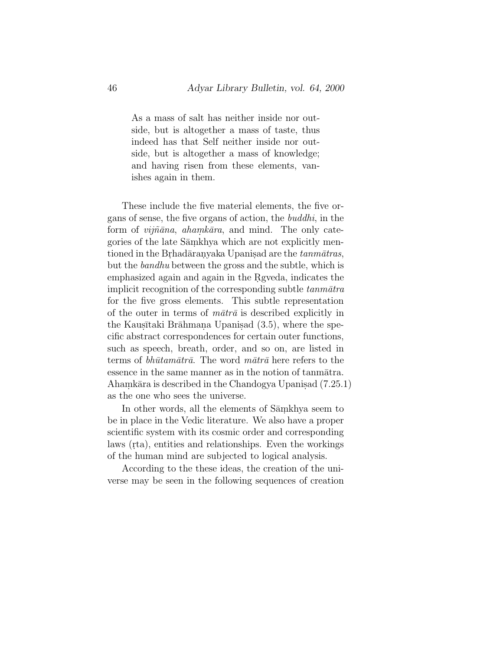As a mass of salt has neither inside nor outside, but is altogether a mass of taste, thus indeed has that Self neither inside nor outside, but is altogether a mass of knowledge; and having risen from these elements, vanishes again in them.

These include the five material elements, the five organs of sense, the five organs of action, the buddhi, in the form of *vijñāna*, *ahamkāra*, and mind. The only categories of the late Samkhya which are not explicitly mentioned in the Brhadāranyaka Upanisad are the *tanmātras*, but the bandhu between the gross and the subtle, which is emphasized again and again in the Rgyeda, indicates the implicit recognition of the corresponding subtle  $tannātra$ for the five gross elements. This subtle representation of the outer in terms of  $m\bar{a}tr\bar{a}$  is described explicitly in the Kaus $\bar{a}$ taki Brāhmana Upanis. (3.5), where the specific abstract correspondences for certain outer functions, such as speech, breath, order, and so on, are listed in terms of *bhūtamātrā*. The word  $m\bar{a}tr\bar{a}$  here refers to the essence in the same manner as in the notion of tanmatra. Ahamkāra is described in the Chandogya Upanisad  $(7.25.1)$ as the one who sees the universe.

In other words, all the elements of Samkhya seem to be in place in the Vedic literature. We also have a proper scientific system with its cosmic order and corresponding laws (rta), entities and relationships. Even the workings of the human mind are subjected to logical analysis.

According to the these ideas, the creation of the universe may be seen in the following sequences of creation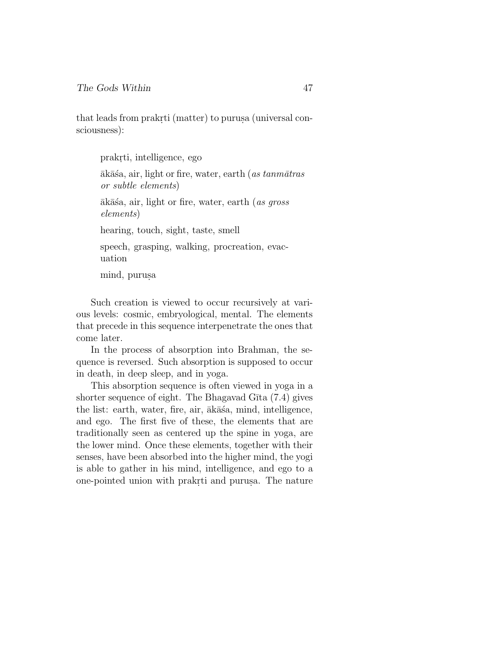that leads from prakrti (matter) to purusa (universal consciousness):

prakrti, intelligence, ego

 $\bar{a}$ k $\bar{a}$ sa, air, light or fire, water, earth (*as tanm* $\bar{a}$ *tras* or subtle elements)

 $\bar{a}$ k $\bar{a}$ śa, air, light or fire, water, earth (*as gross*) elements)

hearing, touch, sight, taste, smell

speech, grasping, walking, procreation, evacuation

mind, purusa

Such creation is viewed to occur recursively at various levels: cosmic, embryological, mental. The elements that precede in this sequence interpenetrate the ones that come later.

In the process of absorption into Brahman, the sequence is reversed. Such absorption is supposed to occur in death, in deep sleep, and in yoga.

This absorption sequence is often viewed in yoga in a shorter sequence of eight. The Bhagavad G $\bar{\text{t}}$ ta (7.4) gives the list: earth, water, fire, air,  $\bar{a}k\bar{a}\dot{s}a$ , mind, intelligence, and ego. The first five of these, the elements that are traditionally seen as centered up the spine in yoga, are the lower mind. Once these elements, together with their senses, have been absorbed into the higher mind, the yogi is able to gather in his mind, intelligence, and ego to a one-pointed union with prakrti and purus. The nature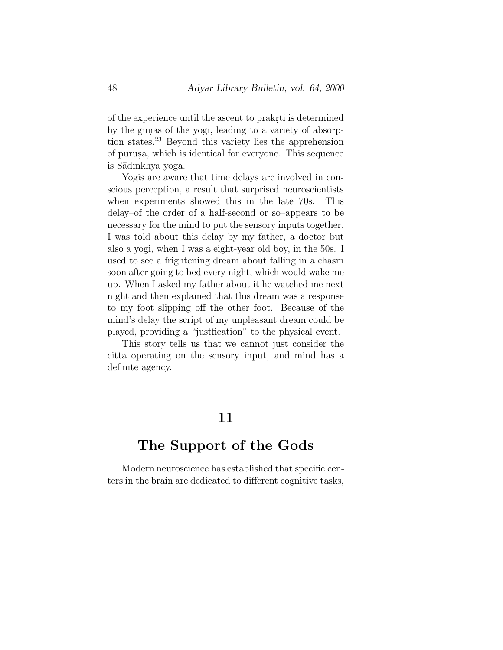of the experience until the ascent to prakrti is determined by the gunas of the yogi, leading to a variety of absorption states.<sup>23</sup> Beyond this variety lies the apprehension of purus.a, which is identical for everyone. This sequence is S¯admkhya yoga.

Yogis are aware that time delays are involved in conscious perception, a result that surprised neuroscientists when experiments showed this in the late 70s. This delay–of the order of a half-second or so–appears to be necessary for the mind to put the sensory inputs together. I was told about this delay by my father, a doctor but also a yogi, when I was a eight-year old boy, in the 50s. I used to see a frightening dream about falling in a chasm soon after going to bed every night, which would wake me up. When I asked my father about it he watched me next night and then explained that this dream was a response to my foot slipping off the other foot. Because of the mind's delay the script of my unpleasant dream could be played, providing a "justfication" to the physical event.

This story tells us that we cannot just consider the citta operating on the sensory input, and mind has a definite agency.

### **11**

### **The Support of the Gods**

Modern neuroscience has established that specific centers in the brain are dedicated to different cognitive tasks,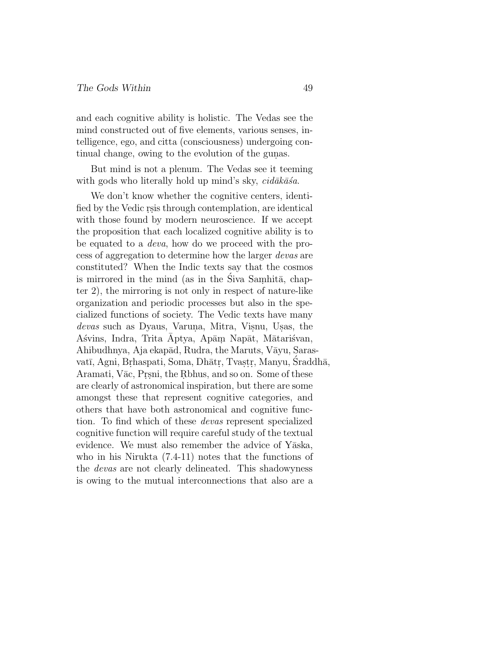and each cognitive ability is holistic. The Vedas see the mind constructed out of five elements, various senses, intelligence, ego, and citta (consciousness) undergoing continual change, owing to the evolution of the gunas.

But mind is not a plenum. The Vedas see it teeming with gods who literally hold up mind's sky,  $c\textit{i}d\bar{a}k\bar{a}\textit{sa}.$ 

We don't know whether the cognitive centers, identified by the Vedic rsis through contemplation, are identical with those found by modern neuroscience. If we accept the proposition that each localized cognitive ability is to be equated to a deva, how do we proceed with the process of aggregation to determine how the larger devas are constituted? When the Indic texts say that the cosmos is mirrored in the mind (as in the Siva Samhita, chapter 2), the mirroring is not only in respect of nature-like organization and periodic processes but also in the specialized functions of society. The Vedic texts have many devas such as Dyaus, Varuna, Mitra, Visnu, Usas, the Asvins, Indra, Trita Aptya, Apām Napāt, Mātarisvan, Ahibudhnya, Aja ekapād, Rudra, the Maruts, Vāyu, Sarasvatī, Agni, Brhaspati, Soma, Dhātr, Tvastr, Manyu, Sraddhā, Aramati, Vāc, Prsni, the Rbhus, and so on. Some of these are clearly of astronomical inspiration, but there are some amongst these that represent cognitive categories, and others that have both astronomical and cognitive function. To find which of these devas represent specialized cognitive function will require careful study of the textual evidence. We must also remember the advice of Yāska, who in his Nirukta (7.4-11) notes that the functions of the devas are not clearly delineated. This shadowyness is owing to the mutual interconnections that also are a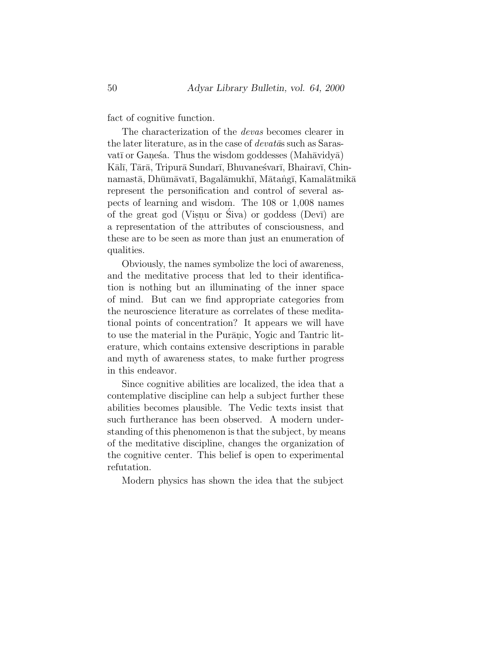fact of cognitive function.

The characterization of the devas becomes clearer in the later literature, as in the case of  $devat\bar{a}s$  such as Sarasvatī or Ganesa. Thus the wisdom goddesses (Mahāvidyā) Kālī, Tārā, Tripurā Sundarī, Bhuvaneśvarī, Bhairavī, Chinnamastā, Dhūmāvatī, Bagalāmukhī, Mātaṅgī, Kamalātmikā represent the personification and control of several aspects of learning and wisdom. The 108 or 1,008 names of the great god (Visnu or Siva) or goddess (Devī) are a representation of the attributes of consciousness, and these are to be seen as more than just an enumeration of qualities.

Obviously, the names symbolize the loci of awareness, and the meditative process that led to their identification is nothing but an illuminating of the inner space of mind. But can we find appropriate categories from the neuroscience literature as correlates of these meditational points of concentration? It appears we will have to use the material in the Purānic, Yogic and Tantric literature, which contains extensive descriptions in parable and myth of awareness states, to make further progress in this endeavor.

Since cognitive abilities are localized, the idea that a contemplative discipline can help a subject further these abilities becomes plausible. The Vedic texts insist that such furtherance has been observed. A modern understanding of this phenomenon is that the subject, by means of the meditative discipline, changes the organization of the cognitive center. This belief is open to experimental refutation.

Modern physics has shown the idea that the subject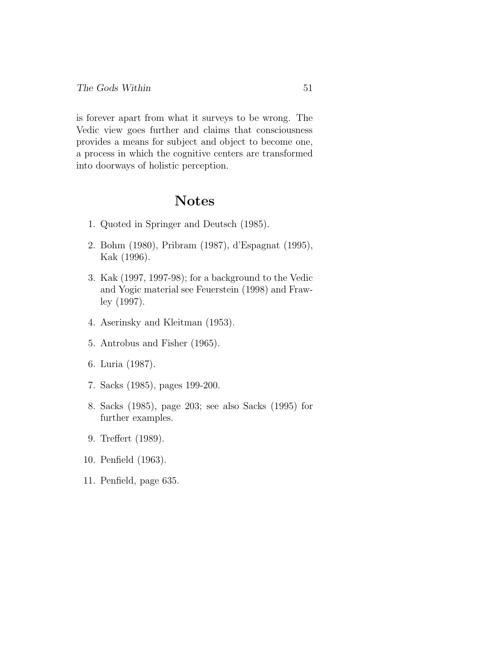is forever apart from what it surveys to be wrong. The Vedic view goes further and claims that consciousness provides a means for subject and object to become one, a process in which the cognitive centers are transformed into doorways of holistic perception.

### **Notes**

- 1. Quoted in Springer and Deutsch (1985).
- 2. Bohm (1980), Pribram (1987), d'Espagnat (1995), Kak (1996).
- 3. Kak (1997, 1997-98); for a background to the Vedic and Yogic material see Feuerstein (1998) and Frawley (1997).
- 4. Aserinsky and Kleitman (1953).
- 5. Antrobus and Fisher (1965).
- 6. Luria (1987).
- 7. Sacks (1985), pages 199-200.
- 8. Sacks (1985), page 203; see also Sacks (1995) for further examples.
- 9. Treffert (1989).
- 10. Penfield (1963).
- 11. Penfield, page 635.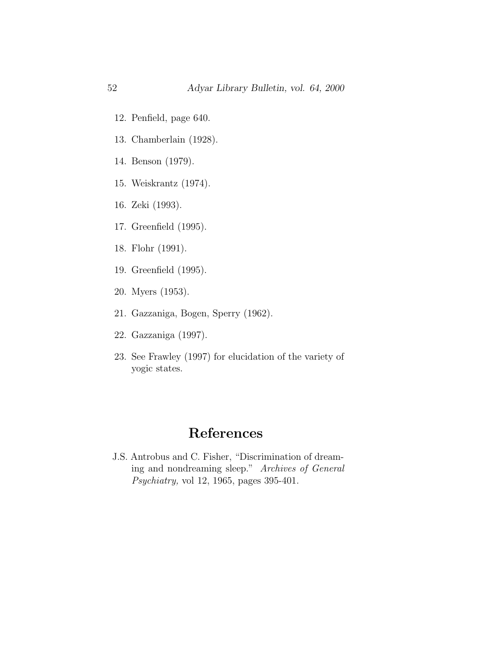- 12. Penfield, page 640.
- 13. Chamberlain (1928).
- 14. Benson (1979).
- 15. Weiskrantz (1974).
- 16. Zeki (1993).
- 17. Greenfield (1995).
- 18. Flohr (1991).
- 19. Greenfield (1995).
- 20. Myers (1953).
- 21. Gazzaniga, Bogen, Sperry (1962).
- 22. Gazzaniga (1997).
- 23. See Frawley (1997) for elucidation of the variety of yogic states.

### **References**

J.S. Antrobus and C. Fisher, "Discrimination of dreaming and nondreaming sleep." Archives of General Psychiatry, vol 12, 1965, pages 395-401.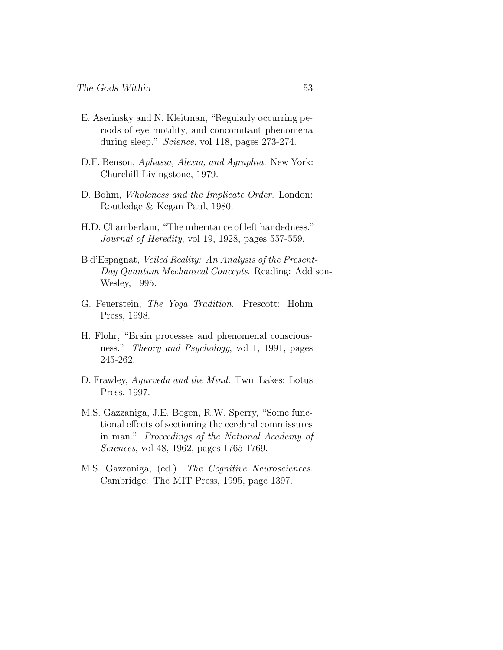- E. Aserinsky and N. Kleitman, "Regularly occurring periods of eye motility, and concomitant phenomena during sleep." Science, vol 118, pages 273-274.
- D.F. Benson, Aphasia, Alexia, and Agraphia. New York: Churchill Livingstone, 1979.
- D. Bohm, Wholeness and the Implicate Order. London: Routledge & Kegan Paul, 1980.
- H.D. Chamberlain, "The inheritance of left handedness." Journal of Heredity, vol 19, 1928, pages 557-559.
- B d'Espagnat, Veiled Reality: An Analysis of the Present-Day Quantum Mechanical Concepts. Reading: Addison-Wesley, 1995.
- G. Feuerstein, The Yoga Tradition. Prescott: Hohm Press, 1998.
- H. Flohr, "Brain processes and phenomenal consciousness." Theory and Psychology, vol 1, 1991, pages 245-262.
- D. Frawley, Ayurveda and the Mind. Twin Lakes: Lotus Press, 1997.
- M.S. Gazzaniga, J.E. Bogen, R.W. Sperry, "Some functional effects of sectioning the cerebral commissures in man." Proceedings of the National Academy of Sciences, vol 48, 1962, pages 1765-1769.
- M.S. Gazzaniga, (ed.) The Cognitive Neurosciences. Cambridge: The MIT Press, 1995, page 1397.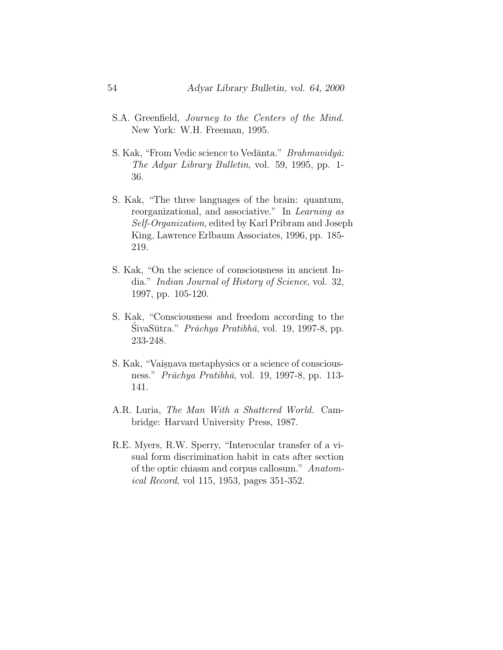- S.A. Greenfield, Journey to the Centers of the Mind. New York: W.H. Freeman, 1995.
- S. Kak, "From Vedic science to Vedānta." Brahmavidyā: The Adyar Library Bulletin, vol. 59, 1995, pp. 1- 36.
- S. Kak, "The three languages of the brain: quantum, reorganizational, and associative." In Learning as Self-Organization, edited by Karl Pribram and Joseph King, Lawrence Erlbaum Associates, 1996, pp. 185- 219.
- S. Kak, "On the science of consciousness in ancient India." Indian Journal of History of Science, vol. 32, 1997, pp. 105-120.
- S. Kak, "Consciousness and freedom according to the  $\text{SivaSūtra." } \text{Prāchya Pratibhā, vol. } 19, 1997-8, \text{pp. }$ 233-248.
- S. Kak, "Vaisnava metaphysics or a science of consciousness." Prāchya Pratibhā, vol. 19, 1997-8, pp. 113-141.
- A.R. Luria, The Man With a Shattered World. Cambridge: Harvard University Press, 1987.
- R.E. Myers, R.W. Sperry, "Interocular transfer of a visual form discrimination habit in cats after section of the optic chiasm and corpus callosum." Anatomical Record, vol 115, 1953, pages 351-352.